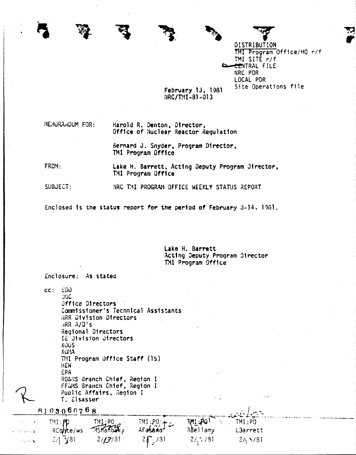DISTRIBUTION TMI Program Office/HQ r/f TMI SITE r/f CENTRAL FILE NRC PDR LOCAL PDR Site Operations file

## February 13, 1981 NRC/TMI-81-013

MEMURAHDUM FOR:

Harold R. Denton, Director, Office of Nuclear Reactor Regulation

Bernard J. Snyder, Program Director, TMI Program Office

FROM: Lake H. Barrett, Acting Deputy Program Director, TMI Program Office

 $SUBJECT:$ NRC THI PROGRAM OFFICE WEEKLY STATUS REPORT

Enclosed is the status report for the period of February 3-14, 1961.

Lake H. Barrett Acting Deputy Program Director TMI Program Office

 $cc: EDU$ **OGC** Office Directors Commissioner's Technical Assistants HRR Division Directors  $\overline{AR}$   $\lambda/D$ 's Regional Directors IE Olylsion Directors **XOGS**  $XU^{\dagger}U$ TMI Program Uffice Staff (15) **HEW** EPA RO&NS Branch Chief, Region I<br>FF&MS Branch Chief, Region I Public Affairs, Region I T. Elsasser

Enclosure: As stated

| 8103060768                   |                   |                     |                       |            |                                                                                                                                                                                                                                                                                                                                                                                                                               |  |
|------------------------------|-------------------|---------------------|-----------------------|------------|-------------------------------------------------------------------------------------------------------------------------------------------------------------------------------------------------------------------------------------------------------------------------------------------------------------------------------------------------------------------------------------------------------------------------------|--|
|                              | $TM$ : ${\sf pp}$ | TML:PO<br>15Manbaky | TMI:PO/+c.<br>AFasano | TMI : 401  | $\frac{1}{2} \frac{1}{\sqrt{1-\frac{1}{2}}}\frac{1}{\sqrt{1-\frac{1}{2}}}\frac{1}{\sqrt{1-\frac{1}{2}}}\frac{1}{\sqrt{1-\frac{1}{2}}}\frac{1}{\sqrt{1-\frac{1}{2}}}\frac{1}{\sqrt{1-\frac{1}{2}}}\frac{1}{\sqrt{1-\frac{1}{2}}}\frac{1}{\sqrt{1-\frac{1}{2}}}\frac{1}{\sqrt{1-\frac{1}{2}}}\frac{1}{\sqrt{1-\frac{1}{2}}}\frac{1}{\sqrt{1-\frac{1}{2}}}\frac{1}{\sqrt{1-\frac{1}{2}}}\frac{1}{\sqrt{1-\frac{1}{2}}}\frac{1}{$ |  |
| <b>Robert Avenue</b>         | RConte/ws         |                     |                       | RBellamy   | <b>L3arrett</b>                                                                                                                                                                                                                                                                                                                                                                                                               |  |
| $\sim$ 2 $\times$ 5 $^\circ$ | $2/ \sqrt[3]{31}$ | 2/131               | $2\int_{0}^{1}/31$    | $2/3$ / 31 | 2/15/81                                                                                                                                                                                                                                                                                                                                                                                                                       |  |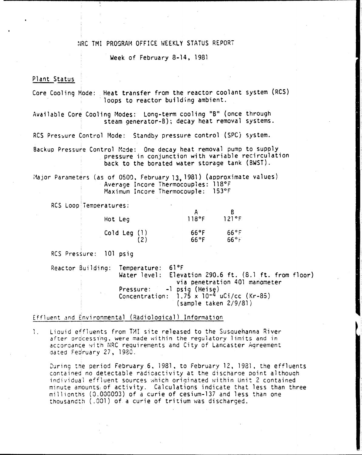# **NRC TMI PROGRAM OFFICE WEEKLY STATUS REPORT**

### Week of February 8-14, 1981

# Plant Status Plant Status

Core Cooling Mode: Heat transfer from the reactor coolant system (RCS) loops to reactor building ambient.

Available Core Cooling Modes: Long-term cooling "B" (once through steam generator-B); decay heat removal systems.

RCS Pressure Control Mode: Standby pressure control (SPC) system.

Backup Pressure Control Mode: One decay heat removal pump to supply pressure in conjunction with variable recirculation back to the borated water storage tank (BWST).

i1ajor Parameters (as of 0500, February 13. 1981) (approximate values) Average Incore Thermocoup1es: 118°F Maximum Incore Thermocouple: 153°F

RCS Loop Temperatures:

| Hot Leg        | 118°F                  | 121°F                            |
|----------------|------------------------|----------------------------------|
| Cold Leg $(1)$ | 66°F<br>$66^{\circ}$ F | $66^{\circ}$ F<br>$66^{\circ}$ i |

I RCS Pressure: 101 psig

Reactor Building: Temperature: 61°F Water level: Elevation 290.6 ft. (S.l ft. from floor) via penetration 401 manometer Pressure: -1 p5ig (Heise) Concentration: 1.75 x 10-4 uCi/cc (Kr-85) (sample taken 2/9/81)

### Effluent and Environmental (Radiolooica1) Information

1. Liouid effluents from TMI site released to the Susquehanna River after processing, were made within the regulatory limits and in accordance with NRC requirements and City of Lancaster Agreement dated Feoruary 27, 1930.

During the period February 6, 1981, to February 12, 1981, the effluents contained no detectable radioactivity at the discharae point a1thouqh individual effluent sources which originated within Unit 2 contained minute amounts of activity. Calculations indicate that less than three millionths (0.000003) of a curie of cesium-137 and less than one thousandth (.001) of a curie of tritium was discharged.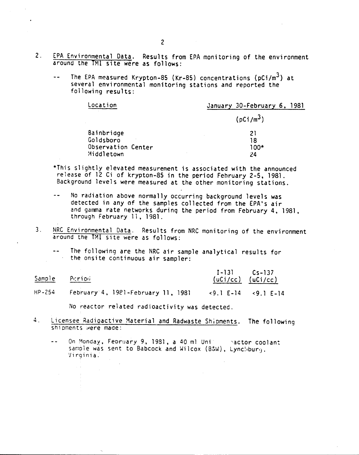- 2. EPA Environmental Data. Results from EPA monitoring of the environment around the 1Ml site were as follows:
	- The EPA measured Krypton-85 (Kr-85) concentrations ( $pCi/m<sup>3</sup>$ ) at  $\sim$   $\sim$ several environmental monitoring stations and reported the following results:

| Location           | January 30-February 6, 1981 |
|--------------------|-----------------------------|
|                    | (pCi/m <sup>3</sup> )       |
| Bainbridge         | 21                          |
| Goldsboro          | 18                          |
| Observation Center | 100*                        |
| Middletown         | 24                          |
|                    |                             |

- \*This slightly elevated measurement is associated with the announced release of 12 Ci of krypton-8S in the period Fehruary 2-5, 1981. Background levels were measured at the other monitoring stations.
- $\ddot{=}$ No radiation above normally occurring background levels was detected in any of the samples collected from the EPA's air and gamma rate networks durinq the period from February 4, 1981, through February 11, 1981.
- 3. NRC Environmental Data. Results from NRC monitoring of the environment around the TMl site were as follows:
	- The following are the NRC air sample analytical results for the onsite continuous air sampler:

| Sample     | Period                             | $I - 131$ $Cs - 137$<br>$(uCi/cc)$ $(uCi/cc)$         |
|------------|------------------------------------|-------------------------------------------------------|
| $HP - 254$ | February 4, 1921-February 11, 1981 | $\langle 9.1 E-14 \rangle$ $\langle 9.1 E-14 \rangle$ |

No reactor related radioactivity was detected.

- 4. Licensee Radioactive Material and Radwaste Shioments. The following shipments were made:
	- On Monday, Feoruary 9, 1931, a 40 ml Unicornactor coolant  $\sim$ sample was sent to Babcock and Wilcox (B&W), Lynchburg. 'I irg i<sup>n</sup> ia .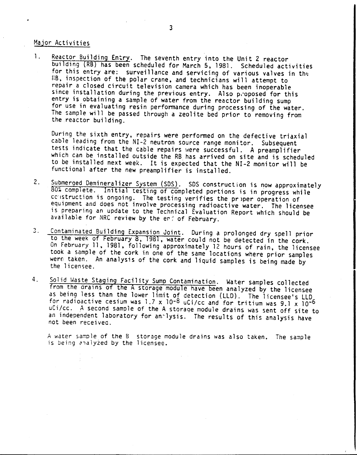# Major Activities

1. Reactor Building Entry. The seventh entry into the Unit 2 reactor building (RB) has been scheduled for March 5. 1981. Scheduled activities for this entry are: surveillance and servicing of various valves in the RB, inspection of the polar crane, and technicians will attempt to repair a closed circuit television camera which has been inoperable since installation during the previous entry. Also proposed for this entry is obtaining a sample of water from the reactor building sump for use in evaluating resin performance during processing of the water. The sample will be passed through a zeolite bed prior to removing from the reactor building.

During the sixth entry, repairs were performed on the defective triaxial cable leading from the NI-2 neutron source range monitor. Subsequent tests indicate that the cable repairs were successful. A preamplifier which can be installed outside the RB has arrived on site and is scheduled to be installed next week. It is expected that the NI-2 monitor will be functional after the new preamplifier is installed.

- 2. Submerged Demineralizer System (SDS). SDS construction is now approximately 80% complete. Initial testing of completed portions is in progress while cclistruction is ongoing. The testing verifies the priper operation of equipment and does not involve processing radioactive water. The licensee is preparing an update to the Technical Evaluation Report which should be available for NRC review by the end of February.
- 3. Contaminated Building Expansion Joint. During a prolonged dry spell prior to the week of February 8. 1981. water could not be detected in the *cork.* On February 11, 1981, following approximately 12 hours of rain, the licensee took a sample of the *cork* in one of the same locations where prior samples were taken. An analysis of the cork and liquid samples is being made by the licensee.
- 4. Solid Waste Staging Facility Sump Contamination. Water samples collected rom the grains of the A storage module have been analyzed by the licensee as being less than the lower limit of detection (LLD). The licensee's LLD for radioactive cesium was 1.7 x 10-8 uCi/cc and for tritium was 9.1 x 10-6 uCi/cc. A second sample of the A storage module drains was sent off site to an independent laboratory for anilysis. The results of this analysis have not been receivec.

A water sample of the B storage module drains was also taken. The sample is being analyzed by the licensee.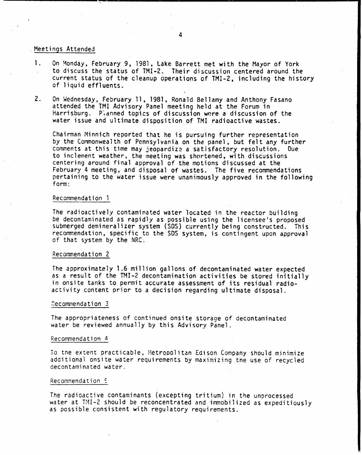# .Meetings Attended

- 1. On Monday, February 9, 1981, Lake Barrett met with the Mayor of York to discuss the status of TMI-2. Their discussion centered around the current status of the cleanup operations of TMI-2, including the history of liquid effluents.
- 2. On Wednesday, February 11, 1981, Ronald Bellamy and Anthony Fasano attended the tMI Advisory Panel meeting held at the Forum in Harrisburg. Planned topics of discussion were a discussion of the water issue and ultimate disposition of TMI radioactive wastes.

Chairman Minnich reported that he is pursuing further representation by the Commonwealth of Pennsylvania on the panel, but felt any further comments at this time may jeopardize a satisfactory resolution. Due to inclement weather, the meeting was shortened, with discussions centering around final approval of the motions discussed at the February 4 meeting, and disposal of wastes. The five recommendations pertaining to the water issue were unanimously approved in the following form:

## Recommendation 1

The radioactively contaminated water located in the reactor building be decontaminated as rapidly as possible using the licensee's proposed submerged demineralizer system (SOS) currently being constructed. This recommendation, specific to the SDS system, is contingent upon approval of that system by the NRC. .

#### Recommendation 2

The approximately 1.6 million gallons of decontaminated water expected as a result of the TMI-2 decontamination activities be stored initially in onsite tanks to permit accurate assessment of its residual radioactivity content prior to a decision regarding ultimate disposal.

#### Recommendation 3

The appropriateness of continued onsite storage of decontaminated water be reviewed annually by this Advisory Panel.

#### Recommendation 4

To the extent practicable, Metropolitan Edison Company should minimize additional onsite water requirements by maximizing the use of recycled decontaminated water.

#### Recommendation 5

The radioactive contaminants (excepting tritium) in the unprocessed water at TMI-2 should be reconcentrated and immobilized as expeditiously as possible consistent with regulatory requirements.